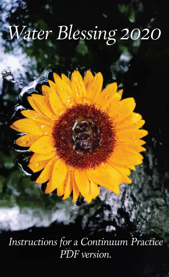# Water Blessing 2020

Instructions for a Continuum Practice PDF version.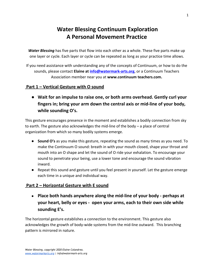## **Water Blessing Continuum Exploration A Personal Movement Practice**

*Water Blessing* has five parts that flow into each other as a whole. These five parts make up one layer or cycle. Each layer or cycle can be repeated as long as your practice time allows.

If you need assistance with understanding any of the concepts of Continuum, or how to do the sounds, please contact **Elaine at [info@watermark-arts.org](mailto:info@watermark-arts.org)**, or a Continuum Teachers Association member near you at **www.continuum teachers.com.**

#### **Part 1 – Vertical Gesture with O sound**

**● Wait for an impulse to raise one, or both arms overhead. Gently curl your fingers in; bring your arm down the central axis or mid-line of your body, while sounding O's.**

This gesture encourages presence in the moment and establishes a bodily connection from sky to earth. The gesture also acknowledges the mid-line of the body – a place of central organization from which so many bodily systems emerge.

- **Sound O's** as you make this gesture, repeating the sound as many times as you need. To make the Continuum O sound: breath in with your mouth closed, shape your throat and mouth into an O shape and let the sound of O ride your exhalation. To encourage your sound to penetrate your being, use a lower tone and encourage the sound vibration inward.
- Repeat this sound and gesture until you feel present in yourself. Let the gesture emerge each time in a unique and individual way.

### **Part 2 – Horizontal Gesture with E sound**

**● Place both hands anywhere along the mid-line of your body - perhaps at your heart, belly or eyes - open your arms, each to their own side while sounding E's.**

The horizontal gesture establishes a connection to the environment. This gesture also acknowledges the growth of body-wide systems from the mid-line outward. This branching pattern is mirrored in nature.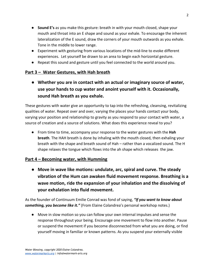- **Sound E's** as you make this gesture: breath in with your mouth closed, shape your mouth and throat into an E shape and sound as your exhale. To encourage the inherent lateralization of the E sound, draw the corners of your mouth outwards as you exhale. Tone in the middle to lower range.
- Experiment with gesturing from various locations of the mid-line to evoke different experiences. Let yourself be drawn to an area to begin each horizontal gesture.
- Repeat this sound and gesture until you feel connected to the world around you.

### **Part 3 – Water Gestures, with Hah breath**

**● Whether you are in contact with an actual or imaginary source of water, use your hands to cup water and anoint yourself with it. Occasionally, sound Hah breath as you exhale.**

These gestures with water give an opportunity to tap into the refreshing, cleansing, revitalizing qualities of water. Repeat over and over, varying the places your hands contact your body, varying your position and relationship to gravity as you respond to your contact with water, a source of creation and a source of solutions. What does this experience reveal to you?

● From time to time, accompany your response to the water gestures with the **Hah breath**. The HAH breath is done by inhaling with the mouth closed, then exhaling your breath with the shape and breath sound of Hah – rather than a vocalized sound. The H shape relaxes the tongue which flows into the ah shape which releases the jaw.

### **Part 4 – Becoming water, with Humming**

**● Move in wave like motions: undulate, arc, spiral and curve. The steady vibration of the Hum can awaken fluid movement response. Breathing is a wave motion, ride the expansion of your inhalation and the dissolving of your exhalation into fluid movement.**

As the founder of Continuum Emilie Conrad was fond of saying, *"If you want to know about something, you become like it."* (From Elaine Colandrea's personal workshop notes.)

● Move in slow motion so you can follow your own internal impulses and sense the response throughout your being. Encourage one movement to flow into another. Pause or suspend the movement if you become disconnected from what you are doing, or find yourself moving in familiar or known patterns. As you suspend your externally visible